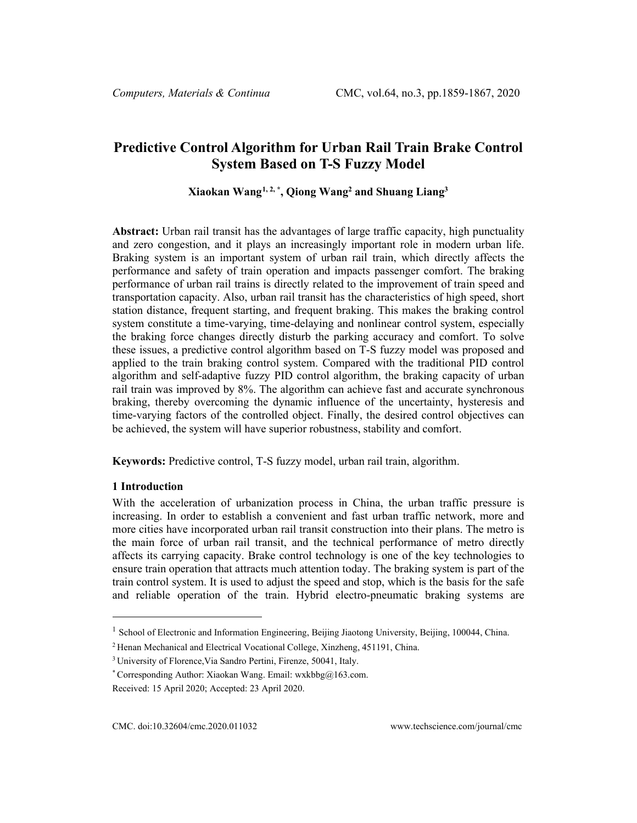# **Predictive Control Algorithm for Urban Rail Train Brake Control System Based on T-S Fuzzy Model**

# **Xiaokan Wang[1,](#page-0-0) 2, \*, Qiong Wang2 and Shuang Liang3**

**Abstract:** Urban rail transit has the advantages of large traffic capacity, high punctuality and zero congestion, and it plays an increasingly important role in modern urban life. Braking system is an important system of urban rail train, which directly affects the performance and safety of train operation and impacts passenger comfort. The braking performance of urban rail trains is directly related to the improvement of train speed and transportation capacity. Also, urban rail transit has the characteristics of high speed, short station distance, frequent starting, and frequent braking. This makes the braking control system constitute a time-varying, time-delaying and nonlinear control system, especially the braking force changes directly disturb the parking accuracy and comfort. To solve these issues, a predictive control algorithm based on T-S fuzzy model was proposed and applied to the train braking control system. Compared with the traditional PID control algorithm and self-adaptive fuzzy PID control algorithm, the braking capacity of urban rail train was improved by 8%. The algorithm can achieve fast and accurate synchronous braking, thereby overcoming the dynamic influence of the uncertainty, hysteresis and time-varying factors of the controlled object. Finally, the desired control objectives can be achieved, the system will have superior robustness, stability and comfort.

**Keywords:** Predictive control, T-S fuzzy model, urban rail train, algorithm.

# **1 Introduction**

With the acceleration of urbanization process in China, the urban traffic pressure is increasing. In order to establish a convenient and fast urban traffic network, more and more cities have incorporated urban rail transit construction into their plans. The metro is the main force of urban rail transit, and the technical performance of metro directly affects its carrying capacity. Brake control technology is one of the key technologies to ensure train operation that attracts much attention today. The braking system is part of the train control system. It is used to adjust the speed and stop, which is the basis for the safe and reliable operation of the train. Hybrid electro-pneumatic braking systems are

<sup>&</sup>lt;sup>1</sup> School of Electronic and Information Engineering, Beijing Jiaotong University, Beijing, 100044, China.

<sup>2</sup> Henan Mechanical and Electrical Vocational College, Xinzheng, 451191, China.

<sup>3</sup> University of Florence,Via Sandro Pertini, Firenze, 50041, Italy.

<sup>\*</sup> Corresponding Author: Xiaokan Wang. Email: wxkbbg@163.com.

<span id="page-0-0"></span>Received: 15 April 2020; Accepted: 23 April 2020.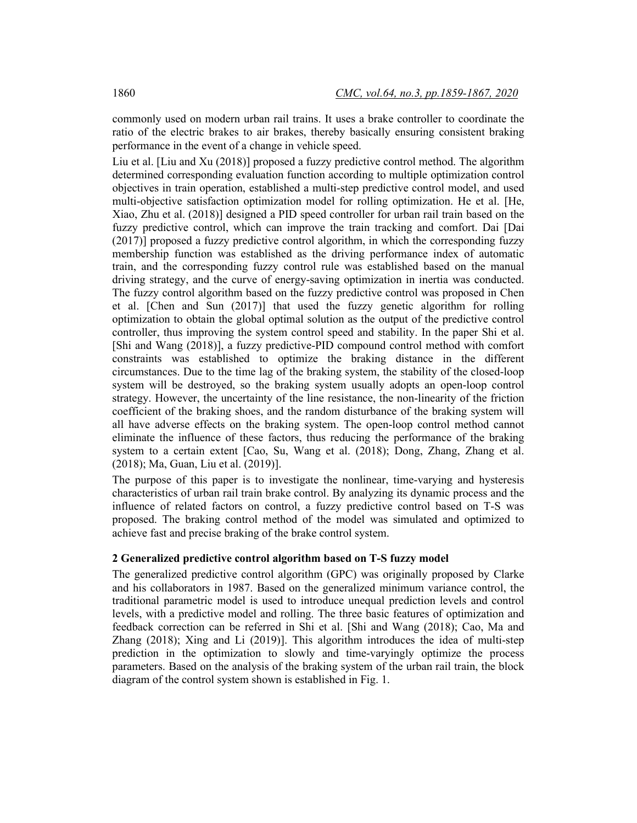commonly used on modern urban rail trains. It uses a brake controller to coordinate the ratio of the electric brakes to air brakes, thereby basically ensuring consistent braking performance in the event of a change in vehicle speed.

Liu et al. [Liu and Xu (2018)] proposed a fuzzy predictive control method. The algorithm determined corresponding evaluation function according to multiple optimization control objectives in train operation, established a multi-step predictive control model, and used multi-objective satisfaction optimization model for rolling optimization. He et al. [He, Xiao, Zhu et al. (2018)] designed a PID speed controller for urban rail train based on the fuzzy predictive control, which can improve the train tracking and comfort. Dai [Dai (2017)] proposed a fuzzy predictive control algorithm, in which the corresponding fuzzy membership function was established as the driving performance index of automatic train, and the corresponding fuzzy control rule was established based on the manual driving strategy, and the curve of energy-saving optimization in inertia was conducted. The fuzzy control algorithm based on the fuzzy predictive control was proposed in Chen et al. [Chen and Sun (2017)] that used the fuzzy genetic algorithm for rolling optimization to obtain the global optimal solution as the output of the predictive control controller, thus improving the system control speed and stability. In the paper Shi et al. [Shi and Wang (2018)], a fuzzy predictive-PID compound control method with comfort constraints was established to optimize the braking distance in the different circumstances. Due to the time lag of the braking system, the stability of the closed-loop system will be destroyed, so the braking system usually adopts an open-loop control strategy. However, the uncertainty of the line resistance, the non-linearity of the friction coefficient of the braking shoes, and the random disturbance of the braking system will all have adverse effects on the braking system. The open-loop control method cannot eliminate the influence of these factors, thus reducing the performance of the braking system to a certain extent [Cao, Su, Wang et al. (2018); Dong, Zhang, Zhang et al. (2018); Ma, Guan, Liu et al. (2019)].

The purpose of this paper is to investigate the nonlinear, time-varying and hysteresis characteristics of urban rail train brake control. By analyzing its dynamic process and the influence of related factors on control, a fuzzy predictive control based on T-S was proposed. The braking control method of the model was simulated and optimized to achieve fast and precise braking of the brake control system.

## **2 Generalized predictive control algorithm based on T-S fuzzy model**

The generalized predictive control algorithm (GPC) was originally proposed by Clarke and his collaborators in 1987. Based on the generalized minimum variance control, the traditional parametric model is used to introduce unequal prediction levels and control levels, with a predictive model and rolling. The three basic features of optimization and feedback correction can be referred in Shi et al. [Shi and Wang (2018); Cao, Ma and Zhang (2018); Xing and Li (2019)]. This algorithm introduces the idea of multi-step prediction in the optimization to slowly and time-varyingly optimize the process parameters. Based on the analysis of the braking system of the urban rail train, the block diagram of the control system shown is established in Fig. 1.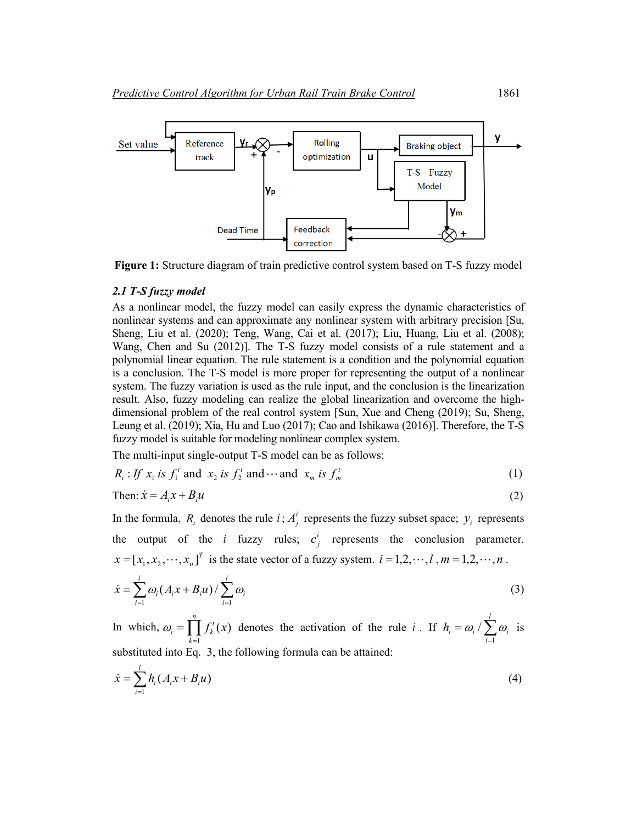

**Figure 1:** Structure diagram of train predictive control system based on T-S fuzzy model

#### *2.1 T-S fuzzy model*

As a nonlinear model, the fuzzy model can easily express the dynamic characteristics of nonlinear systems and can approximate any nonlinear system with arbitrary precision [Su, Sheng, Liu et al. (2020); Teng, Wang, Cai et al. (2017); Liu, Huang, Liu et al. (2008); Wang, Chen and Su (2012)]. The T-S fuzzy model consists of a rule statement and a polynomial linear equation. The rule statement is a condition and the polynomial equation is a conclusion. The T-S model is more proper for representing the output of a nonlinear system. The fuzzy variation is used as the rule input, and the conclusion is the linearization result. Also, fuzzy modeling can realize the global linearization and overcome the highdimensional problem of the real control system [Sun, Xue and Cheng (2019); Su, Sheng, Leung et al. (2019); Xia, Hu and Luo (2017); Cao and Ishikawa (2016)]. Therefore, the T-S fuzzy model is suitable for modeling nonlinear complex system.

The multi-input single-output T-S model can be as follows:

$$
R_i: If x_1 \text{ is } f_1^t \text{ and } x_2 \text{ is } f_2^t \text{ and } \cdots \text{ and } x_m \text{ is } f_m^t \tag{1}
$$

Then: 
$$
\dot{x} = A_i x + B_i u \tag{2}
$$

In the formula,  $R_i$  denotes the rule  $i$ ;  $A_j^i$  represents the fuzzy subset space;  $y_i$  represents the output of the *i* fuzzy rules;  $c_j^i$  represents the conclusion parameter.  $x = [x_1, x_2, \dots, x_n]^T$  is the state vector of a fuzzy system.  $i = 1, 2, \dots, l$ ,  $m = 1, 2, \dots, n$ .

$$
\dot{x} = \sum_{i=1}^{l} \omega_i (A_i x + B_i u) / \sum_{i=1}^{l} \omega_i
$$
\n(3)

In which,  $\omega_i = \prod_{k=1}^n$ *k*  $f_k = \prod f_k^t(x)$  $\omega_i = \prod_{k=1}^n f_k^t(x)$  denotes the activation of the rule *i*. If  $h_i = \omega_i / \sum_{i=1}^l$ *i*  $h_i = \omega_i / \sum \omega_i$ 1  $\omega_i / \sum \omega_i$  is substituted into Eq. 3, the following formula can be attained:

$$
\dot{x} = \sum_{i=1}^{l} h_i (A_i x + B_i u)
$$
\n(4)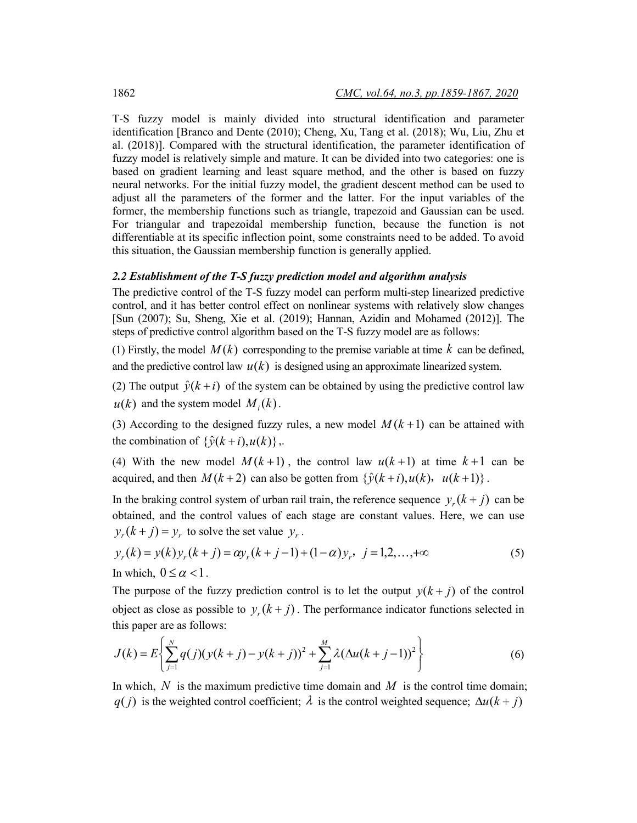T-S fuzzy model is mainly divided into structural identification and parameter identification [Branco and Dente (2010); Cheng, Xu, Tang et al. (2018); Wu, Liu, Zhu et al. (2018)]. Compared with the structural identification, the parameter identification of fuzzy model is relatively simple and mature. It can be divided into two categories: one is based on gradient learning and least square method, and the other is based on fuzzy neural networks. For the initial fuzzy model, the gradient descent method can be used to adjust all the parameters of the former and the latter. For the input variables of the former, the membership functions such as triangle, trapezoid and Gaussian can be used. For triangular and trapezoidal membership function, because the function is not differentiable at its specific inflection point, some constraints need to be added. To avoid this situation, the Gaussian membership function is generally applied.

#### *2.2 Establishment of the T-S fuzzy prediction model and algorithm analysis*

The predictive control of the T-S fuzzy model can perform multi-step linearized predictive control, and it has better control effect on nonlinear systems with relatively slow changes [Sun (2007); Su, Sheng, Xie et al. (2019); Hannan, Azidin and Mohamed (2012)]. The steps of predictive control algorithm based on the T-S fuzzy model are as follows:

(1) Firstly, the model  $M(k)$  corresponding to the premise variable at time  $k$  can be defined, and the predictive control law  $u(k)$  is designed using an approximate linearized system.

(2) The output  $\hat{y}(k + i)$  of the system can be obtained by using the predictive control law  $u(k)$  and the system model  $M_i(k)$ .

(3) According to the designed fuzzy rules, a new model  $M(k+1)$  can be attained with the combination of  $\{\hat{v}(k+i), u(k)\}\,$ .

(4) With the new model  $M(k+1)$ , the control law  $u(k+1)$  at time  $k+1$  can be acquired, and then  $M(k+2)$  can also be gotten from  $\{\hat{y}(k+i), u(k), u(k+1)\}\.$ 

In the braking control system of urban rail train, the reference sequence  $y(x + i)$  can be obtained, and the control values of each stage are constant values. Here, we can use  $y_r(k+j) = y_r$  to solve the set value  $y_r$ .

$$
y_r(k) = y(k)y_r(k+j) = \alpha y_r(k+j-1) + (1-\alpha)y_r, \ \ j = 1, 2, ..., +\infty
$$
  
In which,  $0 \le \alpha < 1$ . (5)

The purpose of the fuzzy prediction control is to let the output  $y(k + j)$  of the control object as close as possible to  $y_r(k+j)$ . The performance indicator functions selected in this paper are as follows:

$$
J(k) = E\left\{\sum_{j=1}^{N} q(j)(y(k+j) - y(k+j))^{2} + \sum_{j=1}^{M} \lambda(\Delta u(k+j-1))^{2}\right\}
$$
(6)

In which,  $N$  is the maximum predictive time domain and  $M$  is the control time domain; *q*(*j*) is the weighted control coefficient;  $\lambda$  is the control weighted sequence;  $\Delta u(k + j)$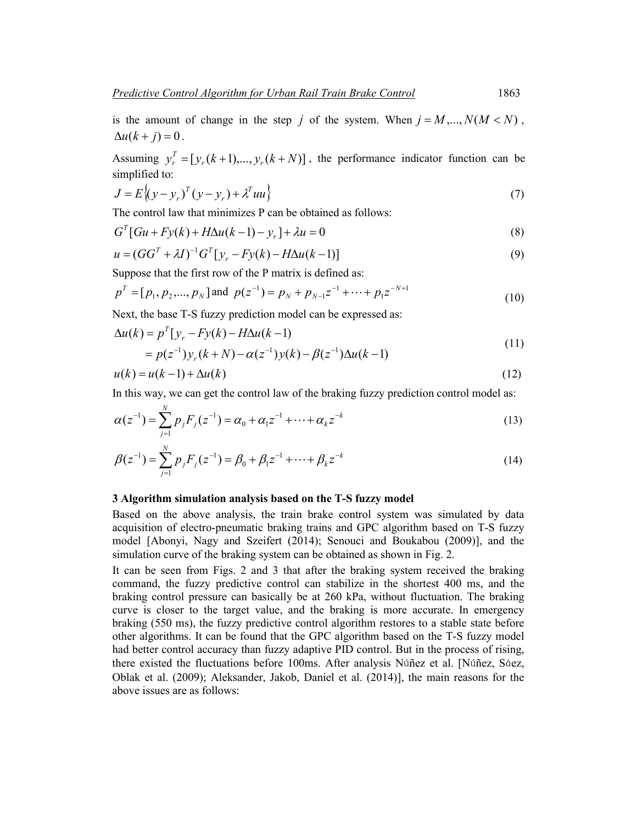is the amount of change in the step *j* of the system. When  $j = M, ..., N(M < N)$ ,  $\Delta u(k+j) = 0$ .

Assuming  $y_r^T = [y_r(k+1),..., y_r(k+N)]$ , the performance indicator function can be simplified to:

$$
J = E\left\{ (y - y_r)^T (y - y_r) + \lambda^T u u \right\}
$$
\n<sup>(7)</sup>

The control law that minimizes P can be obtained as follows:

$$
G^{T}[Gu + Fy(k) + H\Delta u(k-1) - y_r] + \lambda u = 0
$$
\n(8)

$$
u = (GG^{T} + \lambda I)^{-1} G^{T} [y_r - Fy(k) - H\Delta u(k-1)]
$$
\n(9)

Suppose that the first row of the P matrix is defined as:

$$
p^{T} = [p_1, p_2, ..., p_N] \text{ and } p(z^{-1}) = p_N + p_{N-1}z^{-1} + ... + p_1z^{-N+1}
$$
\n(10)

Next, the base T-S fuzzy prediction model can be expressed as:

$$
\Delta u(k) = p^{T} [y_r - F y(k) - H \Delta u(k-1)
$$
  
=  $p(z^{-1}) y_r (k+N) - \alpha(z^{-1}) y(k) - \beta(z^{-1}) \Delta u(k-1)$  (11)

$$
u(k) = u(k-1) + \Delta u(k) \tag{12}
$$

In this way, we can get the control law of the braking fuzzy prediction control model as:

$$
\alpha(z^{-1}) = \sum_{j=1}^{N} p_j F_j(z^{-1}) = \alpha_0 + \alpha_1 z^{-1} + \dots + \alpha_k z^{-k}
$$
\n(13)

$$
\beta(z^{-1}) = \sum_{j=1}^{N} p_j F_j(z^{-1}) = \beta_0 + \beta_1 z^{-1} + \dots + \beta_k z^{-k}
$$
\n(14)

#### **3 Algorithm simulation analysis based on the T-S fuzzy model**

Based on the above analysis, the train brake control system was simulated by data acquisition of electro-pneumatic braking trains and GPC algorithm based on T-S fuzzy model [Abonyi, Nagy and Szeifert (2014); Senouci and Boukabou (2009)], and the simulation curve of the braking system can be obtained as shown in Fig. 2.

It can be seen from Figs. 2 and 3 that after the braking system received the braking command, the fuzzy predictive control can stabilize in the shortest 400 ms, and the braking control pressure can basically be at 260 kPa, without fluctuation. The braking curve is closer to the target value, and the braking is more accurate. In emergency braking (550 ms), the fuzzy predictive control algorithm restores to a stable state before other algorithms. It can be found that the GPC algorithm based on the T-S fuzzy model had better control accuracy than fuzzy adaptive PID control. But in the process of rising, there existed the fluctuations before 100ms. After analysis Núñez et al. [Núñez, Sáez, Oblak et al. (2009); Aleksander, Jakob, Daniel et al. (2014)], the main reasons for the above issues are as follows: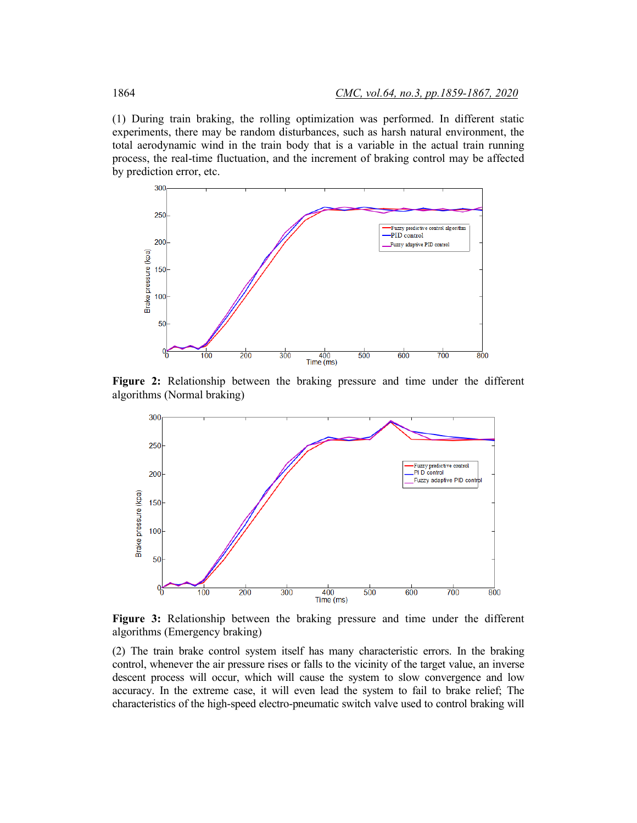(1) During train braking, the rolling optimization was performed. In different static experiments, there may be random disturbances, such as harsh natural environment, the total aerodynamic wind in the train body that is a variable in the actual train running process, the real-time fluctuation, and the increment of braking control may be affected by prediction error, etc.



**Figure 2:** Relationship between the braking pressure and time under the different algorithms (Normal braking)



**Figure 3:** Relationship between the braking pressure and time under the different algorithms (Emergency braking)

(2) The train brake control system itself has many characteristic errors. In the braking control, whenever the air pressure rises or falls to the vicinity of the target value, an inverse descent process will occur, which will cause the system to slow convergence and low accuracy. In the extreme case, it will even lead the system to fail to brake relief; The characteristics of the high-speed electro-pneumatic switch valve used to control braking will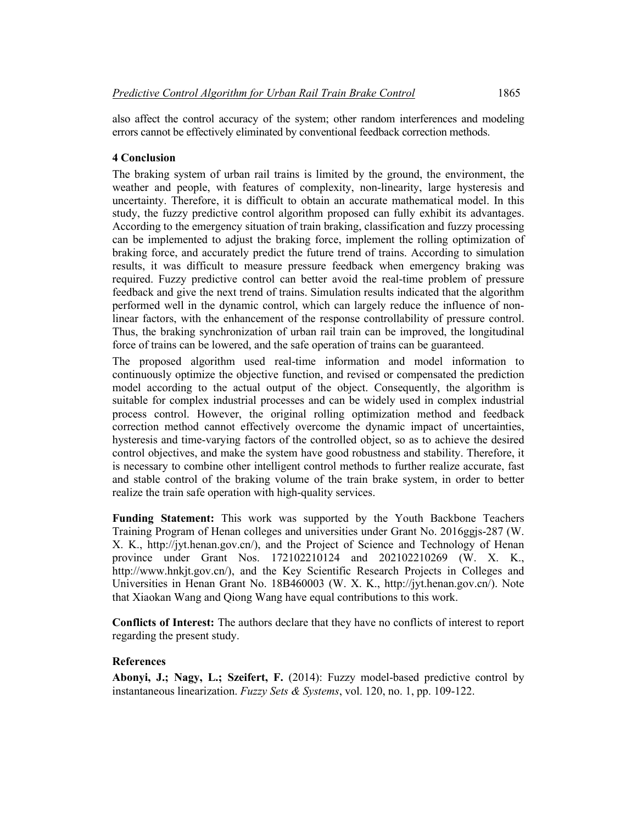also affect the control accuracy of the system; other random interferences and modeling errors cannot be effectively eliminated by conventional feedback correction methods.

# **4 Conclusion**

The braking system of urban rail trains is limited by the ground, the environment, the weather and people, with features of complexity, non-linearity, large hysteresis and uncertainty. Therefore, it is difficult to obtain an accurate mathematical model. In this study, the fuzzy predictive control algorithm proposed can fully exhibit its advantages. According to the emergency situation of train braking, classification and fuzzy processing can be implemented to adjust the braking force, implement the rolling optimization of braking force, and accurately predict the future trend of trains. According to simulation results, it was difficult to measure pressure feedback when emergency braking was required. Fuzzy predictive control can better avoid the real-time problem of pressure feedback and give the next trend of trains. Simulation results indicated that the algorithm performed well in the dynamic control, which can largely reduce the influence of nonlinear factors, with the enhancement of the response controllability of pressure control. Thus, the braking synchronization of urban rail train can be improved, the longitudinal force of trains can be lowered, and the safe operation of trains can be guaranteed.

The proposed algorithm used real-time information and model information to continuously optimize the objective function, and revised or compensated the prediction model according to the actual output of the object. Consequently, the algorithm is suitable for complex industrial processes and can be widely used in complex industrial process control. However, the original rolling optimization method and feedback correction method cannot effectively overcome the dynamic impact of uncertainties, hysteresis and time-varying factors of the controlled object, so as to achieve the desired control objectives, and make the system have good robustness and stability. Therefore, it is necessary to combine other intelligent control methods to further realize accurate, fast and stable control of the braking volume of the train brake system, in order to better realize the train safe operation with high-quality services.

**Funding Statement:** This work was supported by the Youth Backbone Teachers Training Program of Henan colleges and universities under Grant No. 2016ggjs-287 (W. X. K., http://jyt.henan.gov.cn/), and the Project of Science and Technology of Henan province under Grant Nos. 172102210124 and 202102210269 (W. X. K., http://www.hnkjt.gov.cn/), and the Key Scientific Research Projects in Colleges and Universities in Henan Grant No. 18B460003 (W. X. K., http://jyt.henan.gov.cn/). Note that Xiaokan Wang and Qiong Wang have equal contributions to this work.

**Conflicts of Interest:** The authors declare that they have no conflicts of interest to report regarding the present study.

## **References**

**Abonyi, J.; Nagy, L.; Szeifert, F.** (2014): Fuzzy model-based predictive control by instantaneous linearization. *Fuzzy Sets & Systems*, vol. 120, no. 1, pp. 109-122.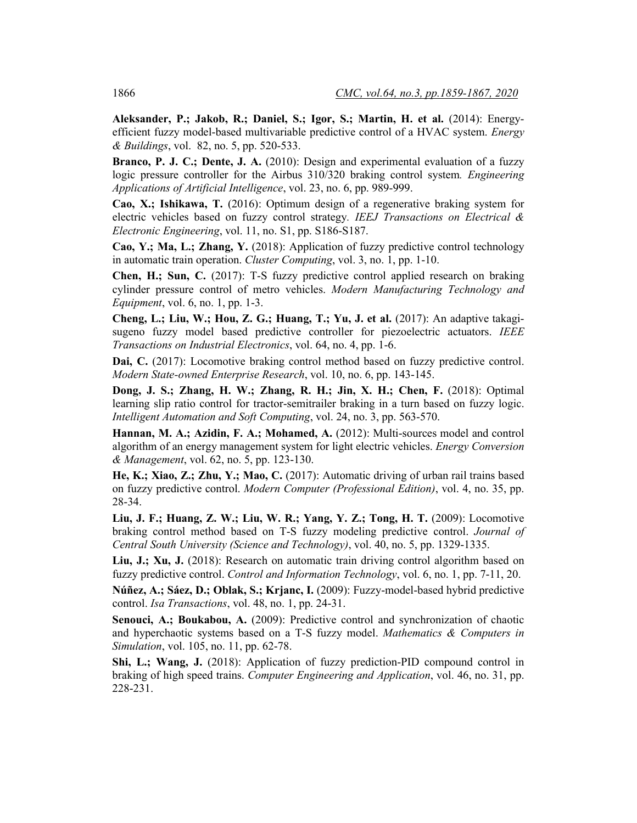**Aleksander, P.; Jakob, R.; Daniel, S.; Igor, S.; Martin, H. et al.** (2014): Energyefficient fuzzy model-based multivariable predictive control of a HVAC system. *Energy & Buildings*, vol. 82, no. 5, pp. 520-533.

**Branco, P. J. C.; Dente, J. A.** (2010): Design and experimental evaluation of a fuzzy logic pressure controller for the Airbus 310/320 braking control system*. Engineering Applications of Artificial Intelligence*, vol. 23, no. 6, pp. 989-999.

**Cao, X.; Ishikawa, T.** (2016): Optimum design of a regenerative braking system for electric vehicles based on fuzzy control strategy*. IEEJ Transactions on Electrical & Electronic Engineering*, vol. 11, no. S1, pp. S186-S187.

**Cao, Y.; Ma, L.; Zhang, Y.** (2018): Application of fuzzy predictive control technology in automatic train operation. *Cluster Computing*, vol. 3, no. 1, pp. 1-10.

**Chen, H.; Sun, C.** (2017): T-S fuzzy predictive control applied research on braking cylinder pressure control of metro vehicles. *Modern Manufacturing Technology and Equipment*, vol. 6, no. 1, pp. 1-3.

**Cheng, L.; Liu, W.; Hou, Z. G.; Huang, T.; Yu, J. et al.** (2017): An adaptive takagisugeno fuzzy model based predictive controller for piezoelectric actuators. *IEEE Transactions on Industrial Electronics*, vol. 64, no. 4, pp. 1-6.

**Dai, C.** (2017): Locomotive braking control method based on fuzzy predictive control. *Modern State-owned Enterprise Research*, vol. 10, no. 6, pp. 143-145.

**Dong, J. S.; Zhang, H. W.; Zhang, R. H.; Jin, X. H.; Chen, F.** (2018): Optimal learning slip ratio control for tractor-semitrailer braking in a turn based on fuzzy logic. *Intelligent Automation and Soft Computing*, vol. 24, no. 3, pp. 563-570.

**Hannan, M. A.; Azidin, F. A.; Mohamed, A.** (2012): Multi-sources model and control algorithm of an energy management system for light electric vehicles. *Energy Conversion & Management*, vol. 62, no. 5, pp. 123-130.

**He, K.; Xiao, Z.; Zhu, Y.; Mao, C.** (2017): Automatic driving of urban rail trains based on fuzzy predictive control. *Modern Computer (Professional Edition)*, vol. 4, no. 35, pp. 28-34.

**Liu, J. F.; Huang, Z. W.; Liu, W. R.; Yang, Y. Z.; Tong, H. T.** (2009): Locomotive braking control method based on T-S fuzzy modeling predictive control. *Journal of Central South University (Science and Technology)*, vol. 40, no. 5, pp. 1329-1335.

Liu, J.; Xu, J. (2018): Research on automatic train driving control algorithm based on fuzzy predictive control. *Control and Information Technology*, vol. 6, no. 1, pp. 7-11, 20.

**Núñez, A.; Sáez, D.; Oblak, S.; Krjanc, I.** (2009): Fuzzy-model-based hybrid predictive control. *Isa Transactions*, vol. 48, no. 1, pp. 24-31.

**Senouci, A.; Boukabou, A.** (2009): Predictive control and synchronization of chaotic and hyperchaotic systems based on a T-S fuzzy model. *Mathematics & Computers in Simulation*, vol. 105, no. 11, pp. 62-78.

**Shi, L.; Wang, J.** (2018): Application of fuzzy prediction-PID compound control in braking of high speed trains. *Computer Engineering and Application*, vol. 46, no. 31, pp. 228-231.